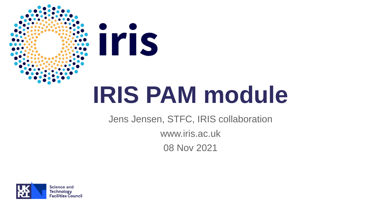

# **IRIS PAM module**

Jens Jensen, STFC, IRIS collaboration www.iris.ac.uk 08 Nov 2021

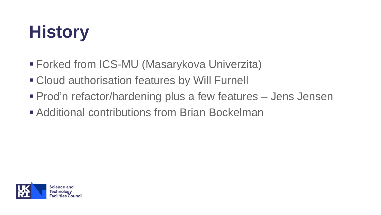## **History**

- Forked from ICS-MU (Masarykova Univerzita)
- Cloud authorisation features by Will Furnell
- **Prod'n refactor/hardening plus a few features Jens Jensen**
- Additional contributions from Brian Bockelman

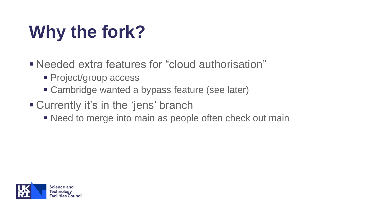# **Why the fork?**

▪ Needed extra features for "cloud authorisation"

- **Project/group access**
- **Exambridge wanted a bypass feature (see later)**
- Currently it's in the 'jens' branch
	- Need to merge into main as people often check out main

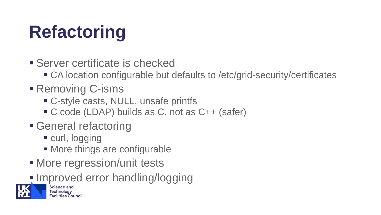# **Refactoring**

- **E** Server certificate is checked
	- CA location configurable but defaults to /etc/grid-security/certificates
- Removing C-isms
	- C-style casts, NULL, unsafe printfs
	- C code (LDAP) builds as C, not as C++ (safer)
- **E** General refactoring
	- curl, logging
	- More things are configurable
- More regression/unit tests
- **Improved error handling/logging**

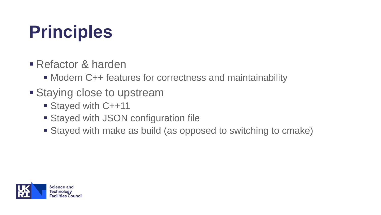## **Principles**

- **E** Refactor & harden
	- Modern C++ features for correctness and maintainability
- **Example Staying close to upstream** 
	- Stayed with C++11
	- Stayed with JSON configuration file
	- Stayed with make as build (as opposed to switching to cmake)

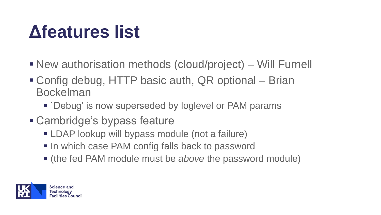#### **Δfeatures list**

- New authorisation methods (cloud/project) Will Furnell
- Config debug, HTTP basic auth, QR optional Brian Bockelman
	- `Debug' is now superseded by loglevel or PAM params
- Cambridge's bypass feature
	- **ELDAP lookup will bypass module (not a failure)**
	- In which case PAM config falls back to password
	- (the fed PAM module must be *above* the password module)

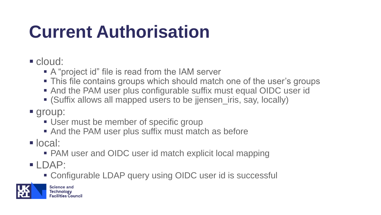## **Current Authorisation**

- cloud:
	- A "project id" file is read from the IAM server
	- This file contains groups which should match one of the user's groups
	- And the PAM user plus configurable suffix must equal OIDC user id
	- (Suffix allows all mapped users to be jjensen\_iris, say, locally)
- group:
	- User must be member of specific group
	- And the PAM user plus suffix must match as before
- local:
	- PAM user and OIDC user id match explicit local mapping
- LDAP:
	- Configurable LDAP query using OIDC user id is successful

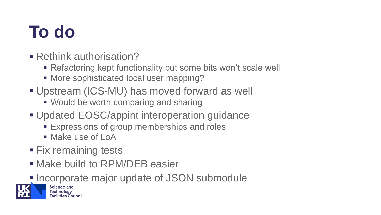#### **To do**

- Rethink authorisation?
	- Refactoring kept functionality but some bits won't scale well
	- More sophisticated local user mapping?
- Upstream (ICS-MU) has moved forward as well
	- Would be worth comparing and sharing
- **Updated EOSC/appint interoperation guidance** 
	- **Expressions of group memberships and roles**
	- Make use of LoA
- **Ex remaining tests**
- Make build to RPM/DEB easier
- **Incorporate major update of JSON submodule**